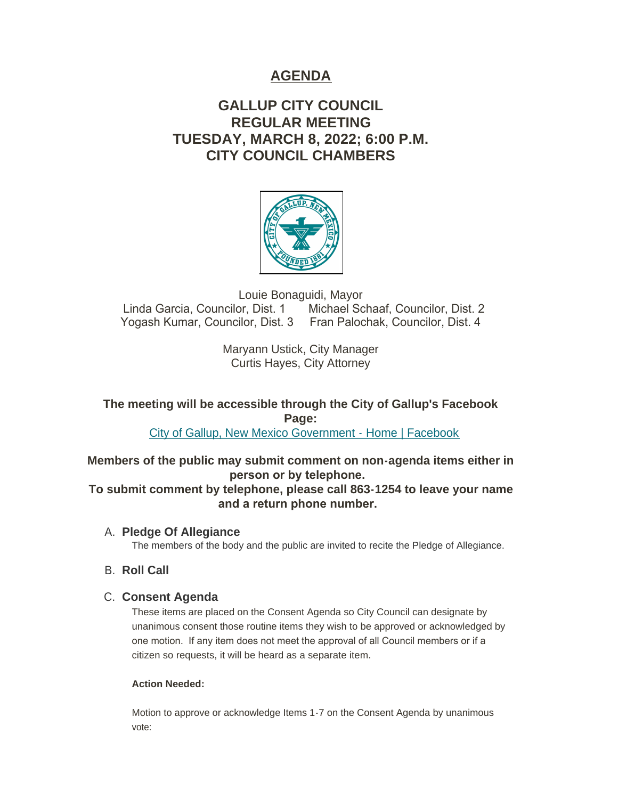# **AGENDA**

# **GALLUP CITY COUNCIL REGULAR MEETING TUESDAY, MARCH 8, 2022; 6:00 P.M. CITY COUNCIL CHAMBERS**



Louie Bonaguidi, Mayor<br>Linda Garcia, Councilor, Dist. 1 Michael Sc Michael Schaaf, Councilor, Dist. 2 Yogash Kumar, Councilor, Dist. 3 Fran Palochak, Councilor, Dist. 4

> Maryann Ustick, City Manager Curtis Hayes, City Attorney

**The meeting will be accessible through the City of Gallup's Facebook Page:**

[City of Gallup, New Mexico Government - Home | Facebook](https://www.facebook.com/CityOfGallup)

**Members of the public may submit comment on non-agenda items either in person or by telephone.** 

**To submit comment by telephone, please call 863-1254 to leave your name and a return phone number.** 

**Pledge Of Allegiance** A.

The members of the body and the public are invited to recite the Pledge of Allegiance.

**B.** Roll Call

# **C. Consent Agenda**

These items are placed on the Consent Agenda so City Council can designate by unanimous consent those routine items they wish to be approved or acknowledged by one motion. If any item does not meet the approval of all Council members or if a citizen so requests, it will be heard as a separate item.

## **Action Needed:**

Motion to approve or acknowledge Items 1-7 on the Consent Agenda by unanimous vote: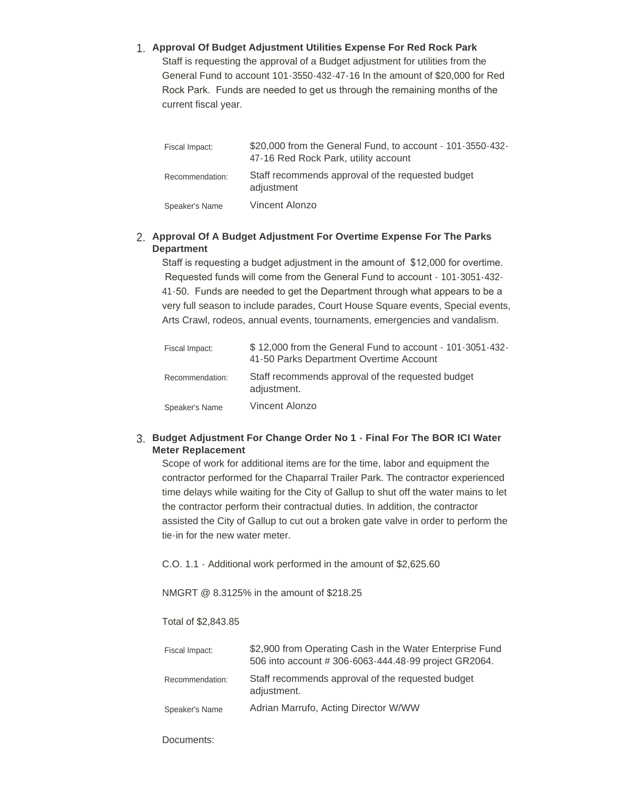# **Approval Of Budget Adjustment Utilities Expense For Red Rock Park** 1.

Staff is requesting the approval of a Budget adjustment for utilities from the General Fund to account 101-3550-432-47-16 In the amount of \$20,000 for Red Rock Park. Funds are needed to get us through the remaining months of the current fiscal year.

| Fiscal Impact:  | \$20,000 from the General Fund, to account - 101-3550-432-<br>47-16 Red Rock Park, utility account |
|-----------------|----------------------------------------------------------------------------------------------------|
| Recommendation: | Staff recommends approval of the requested budget<br>adjustment                                    |
| Speaker's Name  | Vincent Alonzo                                                                                     |

#### **Approval Of A Budget Adjustment For Overtime Expense For The Parks**  2. **Department**

Staff is requesting a budget adjustment in the amount of \$12,000 for overtime. Requested funds will come from the General Fund to account - 101-3051-432- 41-50. Funds are needed to get the Department through what appears to be a very full season to include parades, Court House Square events, Special events, Arts Crawl, rodeos, annual events, tournaments, emergencies and vandalism.

| Fiscal Impact:  | \$12,000 from the General Fund to account - 101-3051-432-<br>41-50 Parks Department Overtime Account |
|-----------------|------------------------------------------------------------------------------------------------------|
| Recommendation: | Staff recommends approval of the requested budget<br>adjustment.                                     |
| Speaker's Name  | Vincent Alonzo                                                                                       |

#### **Budget Adjustment For Change Order No 1 - Final For The BOR ICI Water**  3. **Meter Replacement**

Scope of work for additional items are for the time, labor and equipment the contractor performed for the Chaparral Trailer Park. The contractor experienced time delays while waiting for the City of Gallup to shut off the water mains to let the contractor perform their contractual duties. In addition, the contractor assisted the City of Gallup to cut out a broken gate valve in order to perform the tie-in for the new water meter.

C.O. 1.1 - Additional work performed in the amount of \$2,625.60

NMGRT @ 8.3125% in the amount of \$218.25

#### Total of \$2,843.85

| Fiscal Impact:  | \$2,900 from Operating Cash in the Water Enterprise Fund<br>506 into account #306-6063-444.48-99 project GR2064. |
|-----------------|------------------------------------------------------------------------------------------------------------------|
| Recommendation: | Staff recommends approval of the requested budget<br>adjustment.                                                 |
| Speaker's Name  | Adrian Marrufo, Acting Director W/WW                                                                             |

Documents: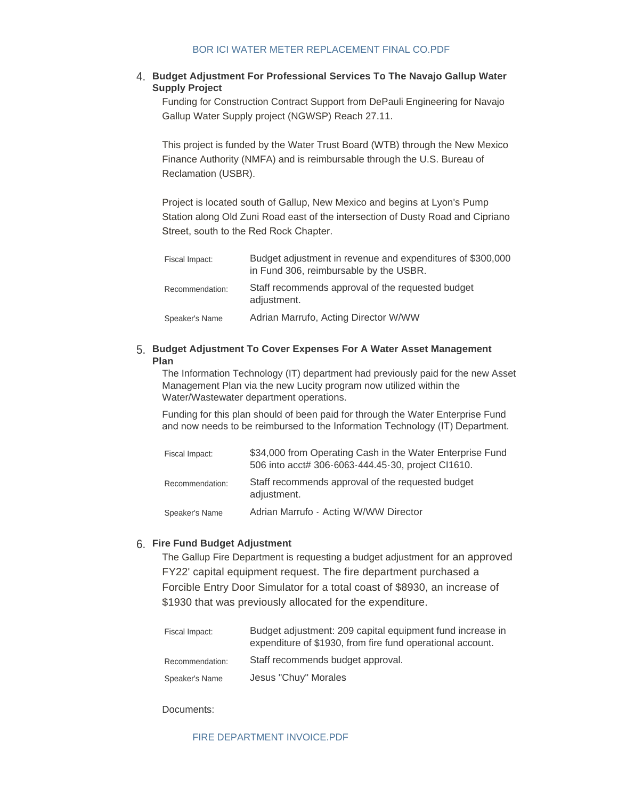## [BOR ICI WATER METER REPLACEMENT FINAL CO.PDF](https://www.gallupnm.gov/AgendaCenter/ViewFile/Item/2848?fileID=12446)

#### **Budget Adjustment For Professional Services To The Navajo Gallup Water**  4. **Supply Project**

Funding for Construction Contract Support from DePauli Engineering for Navajo Gallup Water Supply project (NGWSP) Reach 27.11.

This project is funded by the Water Trust Board (WTB) through the New Mexico Finance Authority (NMFA) and is reimbursable through the U.S. Bureau of Reclamation (USBR).

Project is located south of Gallup, New Mexico and begins at Lyon's Pump Station along Old Zuni Road east of the intersection of Dusty Road and Cipriano Street, south to the Red Rock Chapter.

| Fiscal Impact:  | Budget adjustment in revenue and expenditures of \$300,000<br>in Fund 306, reimbursable by the USBR. |
|-----------------|------------------------------------------------------------------------------------------------------|
| Recommendation: | Staff recommends approval of the requested budget<br>adjustment.                                     |
| Speaker's Name  | Adrian Marrufo, Acting Director W/WW                                                                 |

#### **Budget Adjustment To Cover Expenses For A Water Asset Management**  5. **Plan**

The Information Technology (IT) department had previously paid for the new Asset Management Plan via the new Lucity program now utilized within the Water/Wastewater department operations.

Funding for this plan should of been paid for through the Water Enterprise Fund and now needs to be reimbursed to the Information Technology (IT) Department.

| Fiscal Impact:  | \$34,000 from Operating Cash in the Water Enterprise Fund<br>506 into acct# 306-6063-444.45-30, project Cl1610. |
|-----------------|-----------------------------------------------------------------------------------------------------------------|
| Recommendation: | Staff recommends approval of the requested budget<br>adjustment.                                                |
| Speaker's Name  | Adrian Marrufo - Acting W/WW Director                                                                           |

# **Fire Fund Budget Adjustment** 6.

The Gallup Fire Department is requesting a budget adjustment for an approved FY22' capital equipment request. The fire department purchased a Forcible Entry Door Simulator for a total coast of \$8930, an increase of \$1930 that was previously allocated for the expenditure.

| Fiscal Impact:  | Budget adjustment: 209 capital equipment fund increase in<br>expenditure of \$1930, from fire fund operational account. |
|-----------------|-------------------------------------------------------------------------------------------------------------------------|
| Recommendation: | Staff recommends budget approval.                                                                                       |
| Speaker's Name  | Jesus "Chuy" Morales                                                                                                    |

Documents:

#### [FIRE DEPARTMENT INVOICE.PDF](https://www.gallupnm.gov/AgendaCenter/ViewFile/Item/2856?fileID=12456)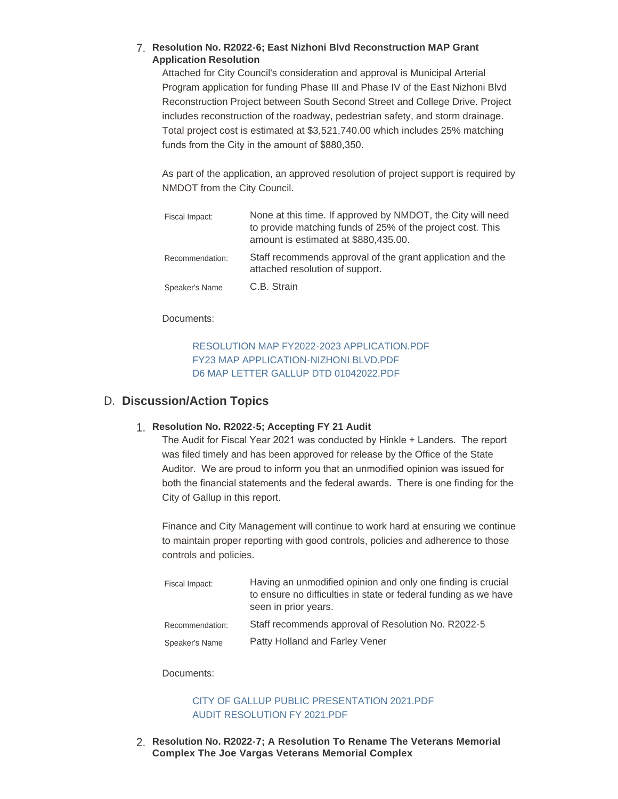## **Resolution No. R2022-6; East Nizhoni Blvd Reconstruction MAP Grant**  7. **Application Resolution**

Attached for City Council's consideration and approval is Municipal Arterial Program application for funding Phase III and Phase IV of the East Nizhoni Blvd Reconstruction Project between South Second Street and College Drive. Project includes reconstruction of the roadway, pedestrian safety, and storm drainage. Total project cost is estimated at \$3,521,740.00 which includes 25% matching funds from the City in the amount of \$880,350.

As part of the application, an approved resolution of project support is required by NMDOT from the City Council.

| Fiscal Impact:  | None at this time. If approved by NMDOT, the City will need<br>to provide matching funds of 25% of the project cost. This<br>amount is estimated at \$880,435.00. |
|-----------------|-------------------------------------------------------------------------------------------------------------------------------------------------------------------|
| Recommendation: | Staff recommends approval of the grant application and the<br>attached resolution of support.                                                                     |
| Speaker's Name  | C.B. Strain                                                                                                                                                       |

#### Documents:

## [RESOLUTION MAP FY2022-2023 APPLICATION.PDF](https://www.gallupnm.gov/AgendaCenter/ViewFile/Item/2854?fileID=12452) [FY23 MAP APPLICATION-NIZHONI BLVD.PDF](https://www.gallupnm.gov/AgendaCenter/ViewFile/Item/2854?fileID=12453) [D6 MAP LETTER GALLUP DTD 01042022.PDF](https://www.gallupnm.gov/AgendaCenter/ViewFile/Item/2854?fileID=12454)

# D. Discussion/Action Topics

# **Resolution No. R2022-5; Accepting FY 21 Audit** 1.

The Audit for Fiscal Year 2021 was conducted by Hinkle + Landers. The report was filed timely and has been approved for release by the Office of the State Auditor. We are proud to inform you that an unmodified opinion was issued for both the financial statements and the federal awards. There is one finding for the City of Gallup in this report.

Finance and City Management will continue to work hard at ensuring we continue to maintain proper reporting with good controls, policies and adherence to those controls and policies.

| Fiscal Impact:  | Having an unmodified opinion and only one finding is crucial<br>to ensure no difficulties in state or federal funding as we have<br>seen in prior years. |
|-----------------|----------------------------------------------------------------------------------------------------------------------------------------------------------|
| Recommendation: | Staff recommends approval of Resolution No. R2022-5                                                                                                      |
| Speaker's Name  | Patty Holland and Farley Vener                                                                                                                           |

#### Documents:

## [CITY OF GALLUP PUBLIC PRESENTATION 2021.PDF](https://www.gallupnm.gov/AgendaCenter/ViewFile/Item/2852?fileID=12447) [AUDIT RESOLUTION FY 2021.PDF](https://www.gallupnm.gov/AgendaCenter/ViewFile/Item/2852?fileID=12457)

**Resolution No. R2022-7; A Resolution To Rename The Veterans Memorial**  2. **Complex The Joe Vargas Veterans Memorial Complex**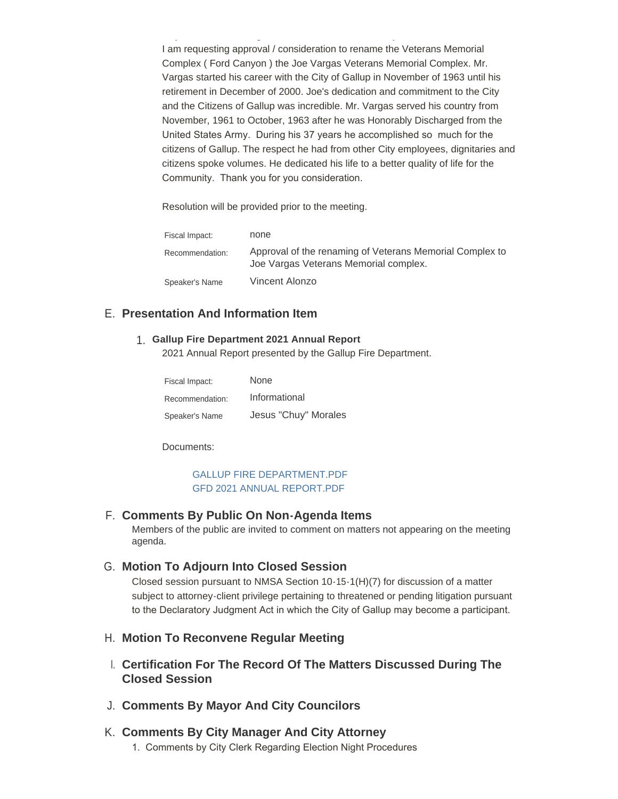I am requesting approval / consideration to rename the Veterans Memorial Complex ( Ford Canyon ) the Joe Vargas Veterans Memorial Complex. Mr. Vargas started his career with the City of Gallup in November of 1963 until his retirement in December of 2000. Joe's dedication and commitment to the City and the Citizens of Gallup was incredible. Mr. Vargas served his country from November, 1961 to October, 1963 after he was Honorably Discharged from the United States Army. During his 37 years he accomplished so much for the citizens of Gallup. The respect he had from other City employees, dignitaries and citizens spoke volumes. He dedicated his life to a better quality of life for the Community. Thank you for you consideration.

Resolution will be provided prior to the meeting.

**Complex The Joe Vargas Veterans Memorial Complex**

| Fiscal Impact:  | none                                                                                              |
|-----------------|---------------------------------------------------------------------------------------------------|
| Recommendation: | Approval of the renaming of Veterans Memorial Complex to<br>Joe Vargas Veterans Memorial complex. |
| Speaker's Name  | Vincent Alonzo                                                                                    |

## **Presentation And Information Item** E.

#### **Gallup Fire Department 2021 Annual Report** 1.

2021 Annual Report presented by the Gallup Fire Department.

| Fiscal Impact:  | None                 |
|-----------------|----------------------|
| Recommendation: | Informational        |
| Speaker's Name  | Jesus "Chuy" Morales |

Documents:

## [GALLUP FIRE DEPARTMENT.PDF](https://www.gallupnm.gov/AgendaCenter/ViewFile/Item/2853?fileID=12450) [GFD 2021 ANNUAL REPORT.PDF](https://www.gallupnm.gov/AgendaCenter/ViewFile/Item/2853?fileID=12451)

#### **Comments By Public On Non-Agenda Items** F.

Members of the public are invited to comment on matters not appearing on the meeting agenda.

## **Motion To Adjourn Into Closed Session** G.

Closed session pursuant to NMSA Section 10-15-1(H)(7) for discussion of a matter subject to attorney-client privilege pertaining to threatened or pending litigation pursuant to the Declaratory Judgment Act in which the City of Gallup may become a participant.

#### **Motion To Reconvene Regular Meeting** H.

- **Certification For The Record Of The Matters Discussed During The**  I. **Closed Session**
- **Comments By Mayor And City Councilors** J.

## **Comments By City Manager And City Attorney** K.

1. Comments by City Clerk Regarding Election Night Procedures